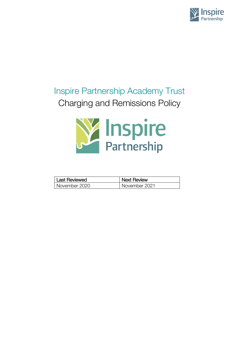

# Inspire Partnership Academy Trust Charging and Remissions Policy



| l Last Reviewed | <b>Next Review</b> |
|-----------------|--------------------|
| l November 2020 | November 2021      |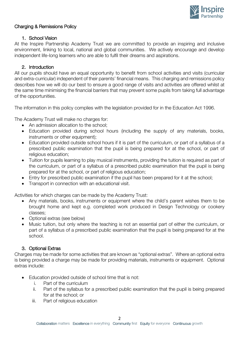

## Charging & Remissions Policy

## 1. School Vision

At the Inspire Partnership Academy Trust we are committed to provide an inspiring and inclusive environment, linking to local, national and global communities. We actively encourage and develop independent life-long learners who are able to fulfil their dreams and aspirations.

## 2. Introduction

All our pupils should have an equal opportunity to benefit from school activities and visits (curricular and extra-curricular) independent of their parents' financial means. This charging and remissions policy describes how we will do our best to ensure a good range of visits and activities are offered whilst at the same time minimising the financial barriers that may prevent some pupils from taking full advantage of the opportunities.

The information in this policy complies with the legislation provided for in the Education Act 1996.

The Academy Trust will make no charges for:

- An admission allocation to the school:
- Education provided during school hours (including the supply of any materials, books, instruments or other equipment);
- Education provided outside school hours if it is part of the curriculum, or part of a syllabus of a prescribed public examination that the pupil is being prepared for at the school, or part of religious education;
- Tuition for pupils learning to play musical instruments, providing the tuition is required as part of the curriculum, or part of a syllabus of a prescribed public examination that the pupil is being prepared for at the school, or part of religious education;
- Entry for prescribed public examination if the pupil has been prepared for it at the school;
- Transport in connection with an educational visit.

Activities for which charges can be made by the Academy Trust:

- Any materials, books, instruments or equipment where the child's parent wishes them to be brought home and kept e.g. completed work produced in Design Technology or cookery classes;
- Optional extras (see below)
- Music tuition, but only where the teaching is not an essential part of either the curriculum, or part of a syllabus of a prescribed public examination that the pupil is being prepared for at the school.

# 3. Optional Extras

Charges may be made for some activities that are known as "optional extras". Where an optional extra is being provided a charge may be made for providing materials, instruments or equipment. Optional extras include:

- Education provided outside of school time that is not:
	- i. Part of the curriculum
	- ii. Part of the syllabus for a prescribed public examination that the pupil is being prepared for at the school; or
	- iii. Part of religious education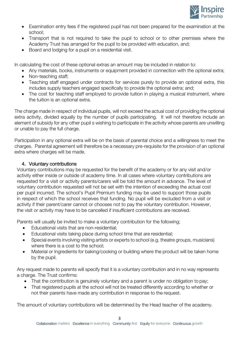

- Examination entry fees if the registered pupil has not been prepared for the examination at the school;
- Transport that is not required to take the pupil to school or to other premises where the Academy Trust has arranged for the pupil to be provided with education, and;
- Board and lodging for a pupil on a residential visit.

In calculating the cost of these optional extras an amount may be included in relation to:

- Any materials, books, instruments or equipment provided in connection with the optional extra;
- Non-teaching staff;
- Teaching staff engaged under contracts for services purely to provide an optional extra, this includes supply teachers engaged specifically to provide the optional extra; and;
- The cost for teaching staff employed to provide tuition in playing a musical instrument, where the tuition is an optional extra.

The charge made in respect of individual pupils, will not exceed the actual cost of providing the optional extra activity, divided equally by the number of pupils participating. It will not therefore include an element of subsidy for any other pupil s wishing to participate in the activity whose parents are unwilling or unable to pay the full charge.

Participation in any optional extra will be on the basis of parental choice and a willingness to meet the charges. Parental agreement will therefore be a necessary pre-requisite for the provision of an optional extra where charges will be made.

## 4. Voluntary contributions

Voluntary contributions may be requested for the benefit of the academy or for any visit and/or activity either inside or outside of academy time. In all cases where voluntary contributions are requested for a visit or activity parents/carers will be told the amount in advance. The level of voluntary contribution requested will not be set with the intention of exceeding the actual cost per pupil incurred. The school's Pupil Premium funding may be used to support those pupils in respect of which the school receives that funding. No pupil will be excluded from a visit or activity if their parent/carer cannot or chooses not to pay the voluntary contribution. However, the visit or activity may have to be cancelled if insufficient contributions are received.

Parents will usually be invited to make a voluntary contribution for the following;

- Educational visits that are non-residential;
- Educational visits taking place during school time that are residential;
- Special events involving visiting artists or experts to school (e.g. theatre groups, musicians) where there is a cost to the school;
- Material or Ingredients for baking/cooking or building where the product will be taken home by the pupil.

Any request made to parents will specify that it is a voluntary contribution and in no way represents a charge. The Trust confirms:

- That the contribution is genuinely voluntary and a parent is under no obligation to pay;
- That registered pupils at the school will not be treated differently according to whether or not their parents have made any contribution in response to the request.

The amount of voluntary contributions will be determined by the Head teacher of the academy.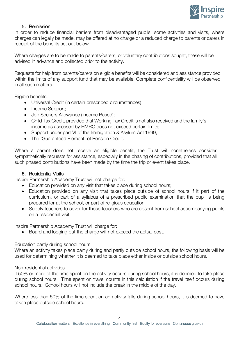

## 5. Remission

In order to reduce financial barriers from disadvantaged pupils, some activities and visits, where charges can legally be made, may be offered at no charge or a reduced charge to parents or carers in receipt of the benefits set out below.

Where charges are to be made to parents/carers, or voluntary contributions sought, these will be advised in advance and collected prior to the activity.

Requests for help from parents/carers on eligible benefits will be considered and assistance provided within the limits of any support fund that may be available. Complete confidentiality will be observed in all such matters.

Eligible benefits:

- Universal Credit (in certain prescribed circumstances);
- Income Support;
- Job Seekers Allowance (Income Based);
- Child Tax Credit, provided that Working Tax Credit is not also received and the family's income as assessed by HMRC does not exceed certain limits;
- Support under part VI of the Immigration & Asylum Act 1999;
- The 'Guaranteed Element' of Pension Credit.

Where a parent does not receive an eligible benefit, the Trust will nonetheless consider sympathetically requests for assistance, especially in the phasing of contributions, provided that all such phased contributions have been made by the time the trip or event takes place.

#### 6. Residential Visits

Inspire Partnership Academy Trust will not charge for:

- Education provided on any visit that takes place during school hours;
- Education provided on any visit that takes place outside of school hours if it part of the curriculum, or part of a syllabus of a prescribed public examination that the pupil is being prepared for at the school, or part of religious education;
- Supply teachers to cover for those teachers who are absent from school accompanying pupils on a residential visit.

Inspire Partnership Academy Trust will charge for:

• Board and lodging but the charge will not exceed the actual cost.

#### Education partly during school hours

Where an activity takes place partly during and partly outside school hours, the following basis will be used for determining whether it is deemed to take place either inside or outside school hours.

#### Non-residential activities

If 50% or more of the time spent on the activity occurs during school hours, it is deemed to take place during school hours. Time spent on travel counts in this calculation if the travel itself occurs during school hours. School hours will not include the break in the middle of the day.

Where less than 50% of the time spent on an activity falls during school hours, it is deemed to have taken place outside school hours.